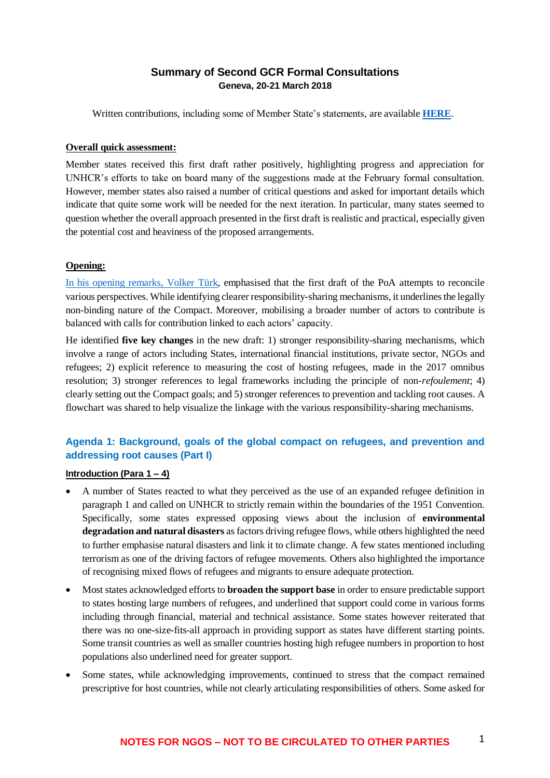## **Summary of Second GCR Formal Consultations Geneva, 20-21 March 2018**

Written contributions, including some of Member State's statements, are available **[HERE](http://www.unhcr.org/towards-a-global-compact-on-refugees-written-contributions.html)**.

#### **Overall quick assessment:**

Member states received this first draft rather positively, highlighting progress and appreciation for UNHCR's efforts to take on board many of the suggestions made at the February formal consultation. However, member states also raised a number of critical questions and asked for important details which indicate that quite some work will be needed for the next iteration. In particular, many states seemed to question whether the overall approach presented in the first draft is realistic and practical, especially given the potential cost and heaviness of the proposed arrangements.

### **Opening:**

[In his opening remarks, Volker Türk,](http://www.unhcr.org/admin/dipstatements/5ab0bb787/opening-remarks-second-formal-consultation-global-compact-refugees.html) emphasised that the first draft of the PoA attempts to reconcile various perspectives. While identifying clearer responsibility-sharing mechanisms, it underlines the legally non-binding nature of the Compact. Moreover, mobilising a broader number of actors to contribute is balanced with calls for contribution linked to each actors' capacity.

He identified **five key changes** in the new draft: 1) stronger responsibility-sharing mechanisms, which involve a range of actors including States, international financial institutions, private sector, NGOs and refugees; 2) explicit reference to measuring the cost of hosting refugees, made in the 2017 omnibus resolution; 3) stronger references to legal frameworks including the principle of non-*refoulement*; 4) clearly setting out the Compact goals; and 5) stronger references to prevention and tackling root causes. A flowchart was shared to help visualize the linkage with the various responsibility-sharing mechanisms.

# **Agenda 1: Background, goals of the global compact on refugees, and prevention and addressing root causes (Part I)**

### **Introduction (Para 1 – 4)**

- A number of States reacted to what they perceived as the use of an expanded refugee definition in paragraph 1 and called on UNHCR to strictly remain within the boundaries of the 1951 Convention. Specifically, some states expressed opposing views about the inclusion of **environmental degradation and natural disasters** as factors driving refugee flows, while others highlighted the need to further emphasise natural disasters and link it to climate change. A few states mentioned including terrorism as one of the driving factors of refugee movements. Others also highlighted the importance of recognising mixed flows of refugees and migrants to ensure adequate protection.
- Most states acknowledged efforts to **broaden the support base** in order to ensure predictable support to states hosting large numbers of refugees, and underlined that support could come in various forms including through financial, material and technical assistance. Some states however reiterated that there was no one-size-fits-all approach in providing support as states have different starting points. Some transit countries as well as smaller countries hosting high refugee numbers in proportion to host populations also underlined need for greater support.
- Some states, while acknowledging improvements, continued to stress that the compact remained prescriptive for host countries, while not clearly articulating responsibilities of others. Some asked for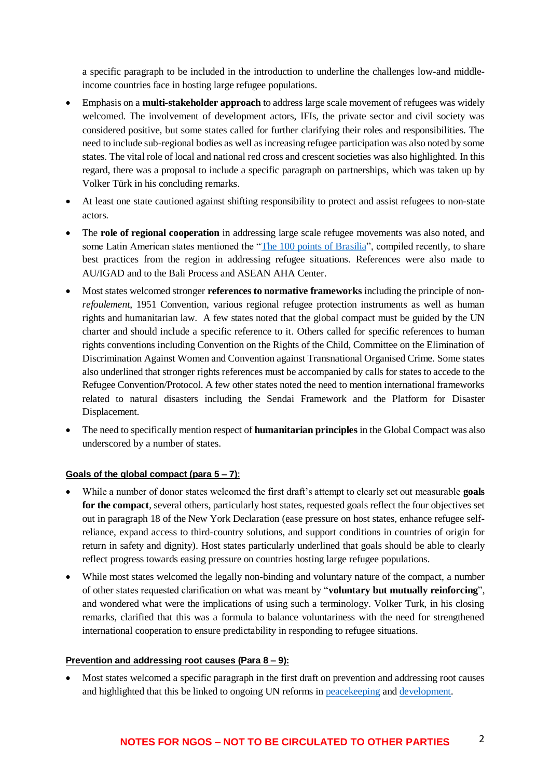a specific paragraph to be included in the introduction to underline the challenges low-and middleincome countries face in hosting large refugee populations.

- Emphasis on a **multi-stakeholder approach** to address large scale movement of refugees was widely welcomed. The involvement of development actors, IFIs, the private sector and civil society was considered positive, but some states called for further clarifying their roles and responsibilities. The need to include sub-regional bodies as well as increasing refugee participation was also noted by some states. The vital role of local and national red cross and crescent societies was also highlighted. In this regard, there was a proposal to include a specific paragraph on partnerships, which was taken up by Volker Türk in his concluding remarks.
- At least one state cautioned against shifting responsibility to protect and assist refugees to non-state actors.
- The **role of regional cooperation** in addressing large scale refugee movements was also noted, and some Latin American states mentioned the ["The 100 points of Brasilia"](http://www.itamaraty.gov.br/images/banners/ReuniaoPactoGlobalRefugiados/The_100_Points_of_Brasilia.pdf), compiled recently, to share best practices from the region in addressing refugee situations. References were also made to AU/IGAD and to the Bali Process and ASEAN AHA Center.
- Most states welcomed stronger **references to normative frameworks** including the principle of non*refoulement*, 1951 Convention, various regional refugee protection instruments as well as human rights and humanitarian law. A few states noted that the global compact must be guided by the UN charter and should include a specific reference to it. Others called for specific references to human rights conventions including Convention on the Rights of the Child, Committee on the Elimination of Discrimination Against Women and Convention against Transnational Organised Crime. Some states also underlined that stronger rights references must be accompanied by calls for states to accede to the Refugee Convention/Protocol. A few other states noted the need to mention international frameworks related to natural disasters including the Sendai Framework and the Platform for Disaster Displacement.
- The need to specifically mention respect of **humanitarian principles** in the Global Compact was also underscored by a number of states.

### **Goals of the global compact (para 5 – 7)**:

- While a number of donor states welcomed the first draft's attempt to clearly set out measurable **goals for the compact**, several others, particularly host states, requested goals reflect the four objectives set out in paragraph 18 of the New York Declaration (ease pressure on host states, enhance refugee selfreliance, expand access to third-country solutions, and support conditions in countries of origin for return in safety and dignity). Host states particularly underlined that goals should be able to clearly reflect progress towards easing pressure on countries hosting large refugee populations.
- While most states welcomed the legally non-binding and voluntary nature of the compact, a number of other states requested clarification on what was meant by "**voluntary but mutually reinforcing**", and wondered what were the implications of using such a terminology. Volker Turk, in his closing remarks, clarified that this was a formula to balance voluntariness with the need for strengthened international cooperation to ensure predictability in responding to refugee situations.

### **Prevention and addressing root causes (Para 8 – 9):**

• Most states welcomed a specific paragraph in the first draft on prevention and addressing root causes and highlighted that this be linked to ongoing UN reforms in [peacekeeping](http://www.securitycouncilreport.org/atf/cf/%7B65BFCF9B-6D27-4E9C-8CD3-CF6E4FF96FF9%7D/a_72_525.pdf) and [development.](http://undocs.org/A/72/684)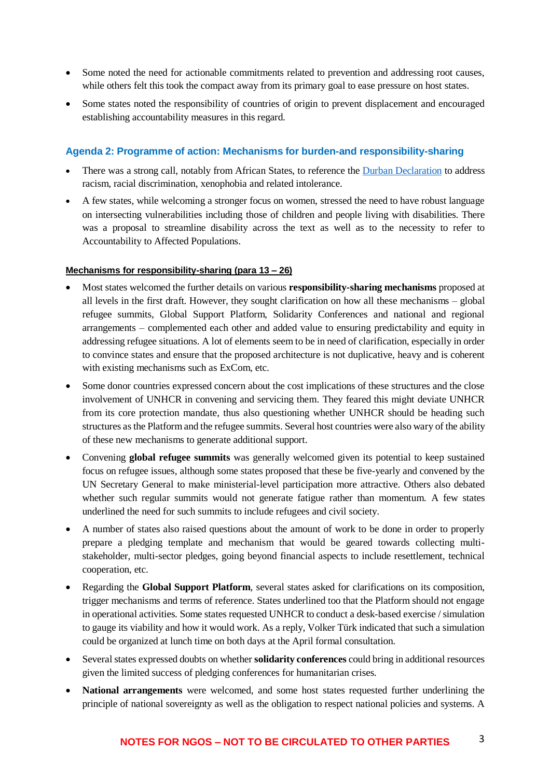- Some noted the need for actionable commitments related to prevention and addressing root causes, while others felt this took the compact away from its primary goal to ease pressure on host states.
- Some states noted the responsibility of countries of origin to prevent displacement and encouraged establishing accountability measures in this regard.

## **Agenda 2: Programme of action: Mechanisms for burden-and responsibility-sharing**

- There was a strong call, notably from African States, to reference the [Durban Declaration](http://www.un.org/WCAR/durban.pdf) to address racism, racial discrimination, xenophobia and related intolerance.
- A few states, while welcoming a stronger focus on women, stressed the need to have robust language on intersecting vulnerabilities including those of children and people living with disabilities. There was a proposal to streamline disability across the text as well as to the necessity to refer to Accountability to Affected Populations.

### **Mechanisms for responsibility-sharing (para 13 – 26)**

- Most states welcomed the further details on various **responsibility-sharing mechanisms** proposed at all levels in the first draft. However, they sought clarification on how all these mechanisms – global refugee summits, Global Support Platform, Solidarity Conferences and national and regional arrangements – complemented each other and added value to ensuring predictability and equity in addressing refugee situations. A lot of elements seem to be in need of clarification, especially in order to convince states and ensure that the proposed architecture is not duplicative, heavy and is coherent with existing mechanisms such as ExCom, etc.
- Some donor countries expressed concern about the cost implications of these structures and the close involvement of UNHCR in convening and servicing them. They feared this might deviate UNHCR from its core protection mandate, thus also questioning whether UNHCR should be heading such structures as the Platform and the refugee summits. Several host countries were also wary of the ability of these new mechanisms to generate additional support.
- Convening **global refugee summits** was generally welcomed given its potential to keep sustained focus on refugee issues, although some states proposed that these be five-yearly and convened by the UN Secretary General to make ministerial-level participation more attractive. Others also debated whether such regular summits would not generate fatigue rather than momentum. A few states underlined the need for such summits to include refugees and civil society.
- A number of states also raised questions about the amount of work to be done in order to properly prepare a pledging template and mechanism that would be geared towards collecting multistakeholder, multi-sector pledges, going beyond financial aspects to include resettlement, technical cooperation, etc.
- Regarding the **Global Support Platform**, several states asked for clarifications on its composition, trigger mechanisms and terms of reference. States underlined too that the Platform should not engage in operational activities. Some states requested UNHCR to conduct a desk-based exercise / simulation to gauge its viability and how it would work. As a reply, Volker Türk indicated that such a simulation could be organized at lunch time on both days at the April formal consultation.
- Several states expressed doubts on whether **solidarity conferences** could bring in additional resources given the limited success of pledging conferences for humanitarian crises.
- **National arrangements** were welcomed, and some host states requested further underlining the principle of national sovereignty as well as the obligation to respect national policies and systems. A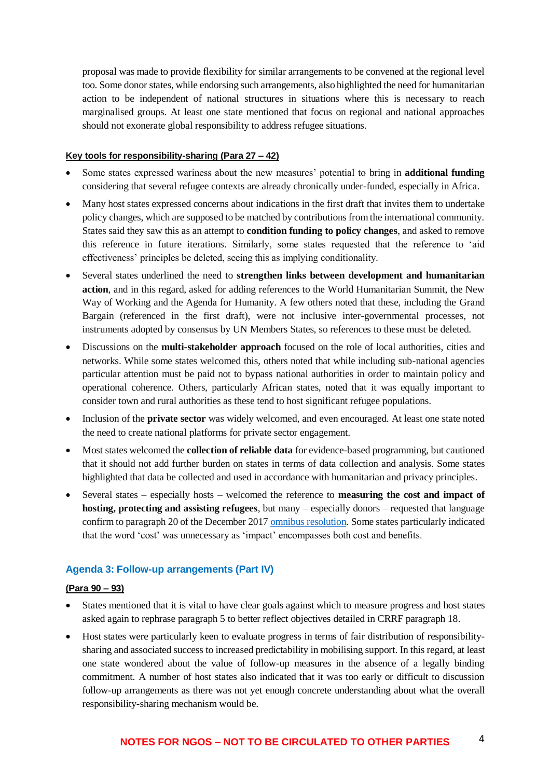proposal was made to provide flexibility for similar arrangements to be convened at the regional level too. Some donor states, while endorsing such arrangements, also highlighted the need for humanitarian action to be independent of national structures in situations where this is necessary to reach marginalised groups. At least one state mentioned that focus on regional and national approaches should not exonerate global responsibility to address refugee situations.

#### **Key tools for responsibility-sharing (Para 27 – 42)**

- Some states expressed wariness about the new measures' potential to bring in **additional funding** considering that several refugee contexts are already chronically under-funded, especially in Africa.
- Many host states expressed concerns about indications in the first draft that invites them to undertake policy changes, which are supposed to be matched by contributions from the international community. States said they saw this as an attempt to **condition funding to policy changes**, and asked to remove this reference in future iterations. Similarly, some states requested that the reference to 'aid effectiveness' principles be deleted, seeing this as implying conditionality.
- Several states underlined the need to **strengthen links between development and humanitarian action**, and in this regard, asked for adding references to the World Humanitarian Summit, the New Way of Working and the Agenda for Humanity. A few others noted that these, including the Grand Bargain (referenced in the first draft), were not inclusive inter-governmental processes, not instruments adopted by consensus by UN Members States, so references to these must be deleted.
- Discussions on the **multi-stakeholder approach** focused on the role of local authorities, cities and networks. While some states welcomed this, others noted that while including sub-national agencies particular attention must be paid not to bypass national authorities in order to maintain policy and operational coherence. Others, particularly African states, noted that it was equally important to consider town and rural authorities as these tend to host significant refugee populations.
- Inclusion of the **private sector** was widely welcomed, and even encouraged. At least one state noted the need to create national platforms for private sector engagement.
- Most states welcomed the **collection of reliable data** for evidence-based programming, but cautioned that it should not add further burden on states in terms of data collection and analysis. Some states highlighted that data be collected and used in accordance with humanitarian and privacy principles.
- Several states especially hosts welcomed the reference to **measuring the cost and impact of hosting, protecting and assisting refugees**, but many – especially donors – requested that language confirm to paragraph 20 of the December 2017 [omnibus resolution.](http://www.un.org/en/ga/search/view_doc.asp?symbol=A/RES/72/150) Some states particularly indicated that the word 'cost' was unnecessary as 'impact' encompasses both cost and benefits.

### **Agenda 3: Follow-up arrangements (Part IV)**

### **(Para 90 – 93)**

- States mentioned that it is vital to have clear goals against which to measure progress and host states asked again to rephrase paragraph 5 to better reflect objectives detailed in CRRF paragraph 18.
- Host states were particularly keen to evaluate progress in terms of fair distribution of responsibilitysharing and associated success to increased predictability in mobilising support. In this regard, at least one state wondered about the value of follow-up measures in the absence of a legally binding commitment. A number of host states also indicated that it was too early or difficult to discussion follow-up arrangements as there was not yet enough concrete understanding about what the overall responsibility-sharing mechanism would be.